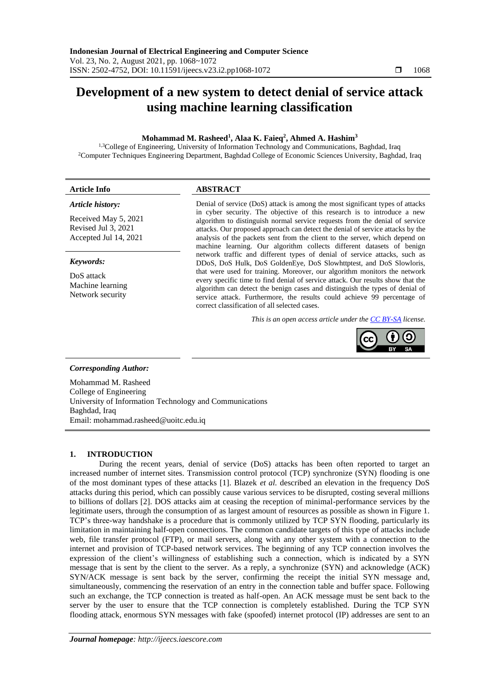# **Development of a new system to detect denial of service attack using machine learning classification**

# **Mohammad M. Rasheed<sup>1</sup> , Alaa K. Faieq<sup>2</sup> , Ahmed A. Hashim<sup>3</sup>**

<sup>1,3</sup>College of Engineering, University of Information Technology and Communications, Baghdad, Iraq <sup>2</sup>Computer Techniques Engineering Department, Baghdad College of Economic Sciences University, Baghdad, Iraq

# **Article Info ABSTRACT**

## *Article history:*

Received May 5, 2021 Revised Jul 3, 2021 Accepted Jul 14, 2021

### *Keywords:*

DoS attack Machine learning Network security

#### Denial of service (DoS) attack is among the most significant types of attacks in cyber security. The objective of this research is to introduce a new algorithm to distinguish normal service requests from the denial of service attacks. Our proposed approach can detect the denial of service attacks by the analysis of the packets sent from the client to the server, which depend on machine learning. Our algorithm collects different datasets of benign network traffic and different types of denial of service attacks, such as DDoS, DoS Hulk, DoS GoldenEye, DoS Slowhttptest, and DoS Slowloris, that were used for training. Moreover, our algorithm monitors the network every specific time to find denial of service attack. Our results show that the algorithm can detect the benign cases and distinguish the types of denial of service attack. Furthermore, the results could achieve 99 percentage of correct classification of all selected cases.

*This is an open access article under the [CC BY-SA](https://creativecommons.org/licenses/by-sa/4.0/) license.*



# *Corresponding Author:*

Mohammad M. Rasheed College of Engineering University of Information Technology and Communications Baghdad, Iraq Email: mohammad.rasheed@uoitc.edu.iq

# **1. INTRODUCTION**

During the recent years, denial of service (DoS) attacks has been often reported to target an increased number of internet sites. Transmission control protocol (TCP) synchronize (SYN) flooding is one of the most dominant types of these attacks [1]. Blazek *et al.* described an elevation in the frequency DoS attacks during this period, which can possibly cause various services to be disrupted, costing several millions to billions of dollars [2]. DOS attacks aim at ceasing the reception of minimal-performance services by the legitimate users, through the consumption of as largest amount of resources as possible as shown in Figure 1. TCP's three-way handshake is a procedure that is commonly utilized by TCP SYN flooding, particularly its limitation in maintaining half-open connections. The common candidate targets of this type of attacks include web, file transfer protocol (FTP), or mail servers, along with any other system with a connection to the internet and provision of TCP-based network services. The beginning of any TCP connection involves the expression of the client's willingness of establishing such a connection, which is indicated by a SYN message that is sent by the client to the server. As a reply, a synchronize (SYN) and acknowledge (ACK) SYN/ACK message is sent back by the server, confirming the receipt the initial SYN message and, simultaneously, commencing the reservation of an entry in the connection table and buffer space. Following such an exchange, the TCP connection is treated as half-open. An ACK message must be sent back to the server by the user to ensure that the TCP connection is completely established. During the TCP SYN flooding attack, enormous SYN messages with fake (spoofed) internet protocol (IP) addresses are sent to an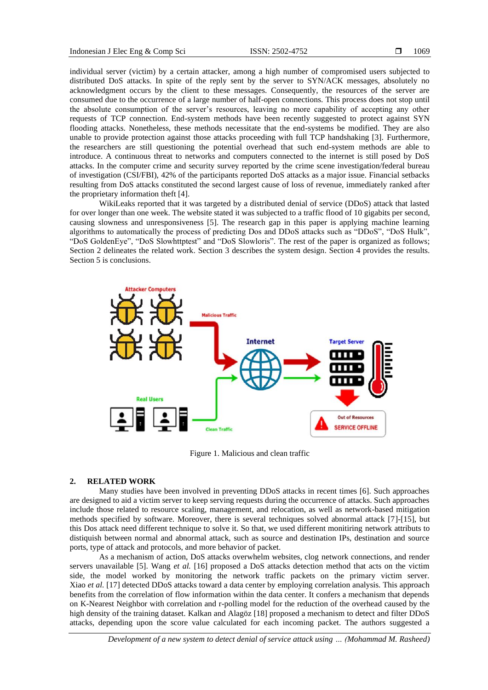individual server (victim) by a certain attacker, among a high number of compromised users subjected to distributed DoS attacks. In spite of the reply sent by the server to SYN/ACK messages, absolutely no acknowledgment occurs by the client to these messages. Consequently, the resources of the server are consumed due to the occurrence of a large number of half-open connections. This process does not stop until the absolute consumption of the server's resources, leaving no more capability of accepting any other requests of TCP connection. End-system methods have been recently suggested to protect against SYN flooding attacks. Nonetheless, these methods necessitate that the end-systems be modified. They are also unable to provide protection against those attacks proceeding with full TCP handshaking [3]. Furthermore, the researchers are still questioning the potential overhead that such end-system methods are able to introduce. A continuous threat to networks and computers connected to the internet is still posed by DoS attacks. In the computer crime and security survey reported by the crime scene investigation/federal bureau of investigation (CSI/FBI), 42% of the participants reported DoS attacks as a major issue. Financial setbacks resulting from DoS attacks constituted the second largest cause of loss of revenue, immediately ranked after the proprietary information theft [4].

WikiLeaks reported that it was targeted by a distributed denial of service (DDoS) attack that lasted for over longer than one week. The website stated it was subjected to a traffic flood of 10 gigabits per second, causing slowness and unresponsiveness [5]. The research gap in this paper is applying machine learning algorithms to automatically the process of predicting Dos and DDoS attacks such as "DDoS", "DoS Hulk", "DoS GoldenEye", "DoS Slowhttptest" and "DoS Slowloris". The rest of the paper is organized as follows; Section 2 delineates the related work. Section 3 describes the system design. Section 4 provides the results. Section 5 is conclusions.



Figure 1. Malicious and clean traffic

# **2. RELATED WORK**

Many studies have been involved in preventing DDoS attacks in recent times [6]. Such approaches are designed to aid a victim server to keep serving requests during the occurrence of attacks. Such approaches include those related to resource scaling, management, and relocation, as well as network-based mitigation methods specified by software. Moreover, there is several techniques solved abnormal attack [7]-[15], but this Dos attack need different technique to solve it. So that, we used different monitiring network attributs to distiquish between normal and abnormal attack, such as source and destination IPs, destination and source ports, type of attack and protocols, and more behavior of packet.

As a mechanism of action, DoS attacks overwhelm websites, clog network connections, and render servers unavailable [5]. Wang *et al.* [16] proposed a DoS attacks detection method that acts on the victim side, the model worked by monitoring the network traffic packets on the primary victim server. Xiao *et al.* [17] detected DDoS attacks toward a data center by employing correlation analysis. This approach benefits from the correlation of flow information within the data center. It confers a mechanism that depends on K-Nearest Neighbor with correlation and r-polling model for the reduction of the overhead caused by the high density of the training dataset. Kalkan and Alagöz [18] proposed a mechanism to detect and filter DDoS attacks, depending upon the score value calculated for each incoming packet. The authors suggested a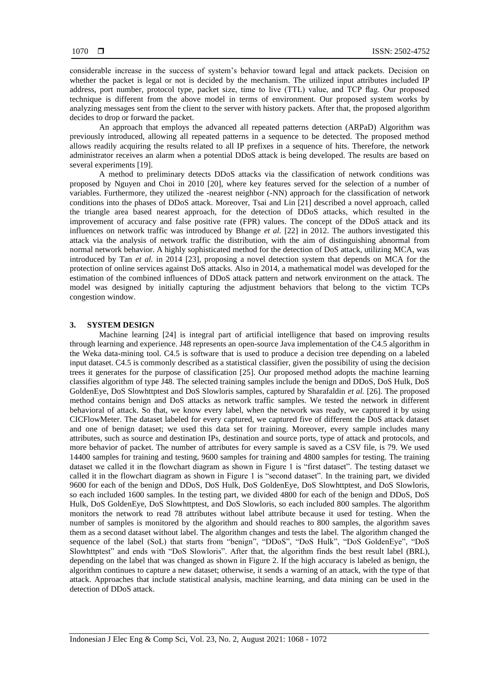considerable increase in the success of system's behavior toward legal and attack packets. Decision on whether the packet is legal or not is decided by the mechanism. The utilized input attributes included IP address, port number, protocol type, packet size, time to live (TTL) value, and TCP flag. Our proposed technique is different from the above model in terms of environment. Our proposed system works by analyzing messages sent from the client to the server with history packets. After that, the proposed algorithm decides to drop or forward the packet.

An approach that employs the advanced all repeated patterns detection (ARPaD) Algorithm was previously introduced, allowing all repeated patterns in a sequence to be detected. The proposed method allows readily acquiring the results related to all IP prefixes in a sequence of hits. Therefore, the network administrator receives an alarm when a potential DDoS attack is being developed. The results are based on several experiments [19].

A method to preliminary detects DDoS attacks via the classification of network conditions was proposed by Nguyen and Choi in 2010 [20], where key features served for the selection of a number of variables. Furthermore, they utilized the -nearest neighbor (-NN) approach for the classification of network conditions into the phases of DDoS attack. Moreover, Tsai and Lin [21] described a novel approach, called the triangle area based nearest approach, for the detection of DDoS attacks, which resulted in the improvement of accuracy and false positive rate (FPR) values. The concept of the DDoS attack and its influences on network traffic was introduced by Bhange *et al.* [22] in 2012. The authors investigated this attack via the analysis of network traffic the distribution, with the aim of distinguishing abnormal from normal network behavior. A highly sophisticated method for the detection of DoS attack, utilizing MCA, was introduced by Tan *et al.* in 2014 [23], proposing a novel detection system that depends on MCA for the protection of online services against DoS attacks. Also in 2014, a mathematical model was developed for the estimation of the combined influences of DDoS attack pattern and network environment on the attack. The model was designed by initially capturing the adjustment behaviors that belong to the victim TCPs congestion window.

### **3. SYSTEM DESIGN**

Machine learning [24] is integral part of artificial intelligence that based on improving results through learning and experience. J48 represents an open-source Java implementation of the C4.5 algorithm in the Weka data-mining tool. C4.5 is software that is used to produce a decision tree depending on a labeled input dataset. C4.5 is commonly described as a statistical classifier, given the possibility of using the decision trees it generates for the purpose of classification [25]. Our proposed method adopts the machine learning classifies algorithm of type J48. The selected training samples include the benign and DDoS, DoS Hulk, DoS GoldenEye, DoS Slowhttptest and DoS Slowloris samples, captured by Sharafaldin *et al.* [26]. The proposed method contains benign and DoS attacks as network traffic samples. We tested the network in different behavioral of attack. So that, we know every label, when the network was ready, we captured it by using CICFlowMeter. The dataset labeled for every captured, we captured five of different the DoS attack dataset and one of benign dataset; we used this data set for training. Moreover, every sample includes many attributes, such as source and destination IPs, destination and source ports, type of attack and protocols, and more behavior of packet. The number of attributes for every sample is saved as a CSV file, is 79. We used 14400 samples for training and testing, 9600 samples for training and 4800 samples for testing. The training dataset we called it in the flowchart diagram as shown in Figure 1 is "first dataset". The testing dataset we called it in the flowchart diagram as shown in Figure 1 is "second dataset". In the training part, we divided 9600 for each of the benign and DDoS, DoS Hulk, DoS GoldenEye, DoS Slowhttptest, and DoS Slowloris, so each included 1600 samples. In the testing part, we divided 4800 for each of the benign and DDoS, DoS Hulk, DoS GoldenEye, DoS Slowhttptest, and DoS Slowloris, so each included 800 samples. The algorithm monitors the network to read 78 attributes without label attribute because it used for testing. When the number of samples is monitored by the algorithm and should reaches to 800 samples, the algorithm saves them as a second dataset without label. The algorithm changes and tests the label. The algorithm changed the sequence of the label (SoL) that starts from "benign", "DDoS", "DoS Hulk", "DoS GoldenEye", "DoS Slowhttptest" and ends with "DoS Slowloris". After that, the algorithm finds the best result label (BRL), depending on the label that was changed as shown in Figure 2. If the high accuracy is labeled as benign, the algorithm continues to capture a new dataset; otherwise, it sends a warning of an attack, with the type of that attack. Approaches that include statistical analysis, machine learning, and data mining can be used in the detection of DDoS attack.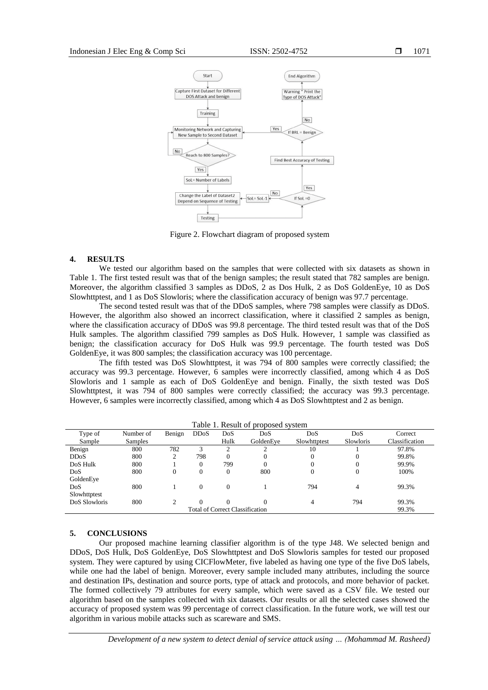

Figure 2. Flowchart diagram of proposed system

#### **4. RESULTS**

We tested our algorithm based on the samples that were collected with six datasets as shown in Table 1. The first tested result was that of the benign samples; the result stated that 782 samples are benign. Moreover, the algorithm classified 3 samples as DDoS, 2 as Dos Hulk, 2 as DoS GoldenEye, 10 as DoS Slowhttptest, and 1 as DoS Slowloris; where the classification accuracy of benign was 97.7 percentage.

The second tested result was that of the DDoS samples, where 798 samples were classify as DDoS. However, the algorithm also showed an incorrect classification, where it classified 2 samples as benign, where the classification accuracy of DDoS was 99.8 percentage. The third tested result was that of the DoS Hulk samples. The algorithm classified 799 samples as DoS Hulk. However, 1 sample was classified as benign; the classification accuracy for DoS Hulk was 99.9 percentage. The fourth tested was DoS GoldenEye, it was 800 samples; the classification accuracy was 100 percentage.

The fifth tested was DoS Slowhttptest, it was 794 of 800 samples were correctly classified; the accuracy was 99.3 percentage. However, 6 samples were incorrectly classified, among which 4 as DoS Slowloris and 1 sample as each of DoS GoldenEye and benign. Finally, the sixth tested was DoS Slowhttptest, it was 794 of 800 samples were correctly classified; the accuracy was 99.3 percentage. However, 6 samples were incorrectly classified, among which 4 as DoS Slowhttptest and 2 as benign.

| Table 1. Result of broposed system     |                |        |                   |          |           |                |           |                |
|----------------------------------------|----------------|--------|-------------------|----------|-----------|----------------|-----------|----------------|
| Type of                                | Number of      | Benign | DD <sub>0</sub> S | DoS      | DoS       | DoS            | DoS       | Correct        |
| Sample                                 | <b>Samples</b> |        |                   | Hulk     | GoldenEve | Slowhttptest   | Slowloris | Classification |
| Benign                                 | 800            | 782    |                   |          |           | 10             |           | 97.8%          |
| DD <sub>0</sub> S                      | 800            | 2      | 798               | $\Omega$ | 0         | 0              | 0         | 99.8%          |
| DoS Hulk                               | 800            |        | $\Omega$          | 799      | 0         | $\overline{0}$ | 0         | 99.9%          |
| DoS                                    | 800            | 0      | $\Omega$          | 0        | 800       | $\mathbf{0}$   | $\theta$  | 100%           |
| GoldenEye                              |                |        |                   |          |           |                |           |                |
| DoS                                    | 800            |        | $\Omega$          | $\Omega$ |           | 794            |           | 99.3%          |
| Slowhttptest                           |                |        |                   |          |           |                |           |                |
| DoS Slowloris                          | 800            |        | $\Omega$          | $\Omega$ |           | 4              | 794       | 99.3%          |
| <b>Total of Correct Classification</b> |                |        |                   |          |           |                |           | 99.3%          |

# Table 1. Result of proposed system

### **5. CONCLUSIONS**

Our proposed machine learning classifier algorithm is of the type J48. We selected benign and DDoS, DoS Hulk, DoS GoldenEye, DoS Slowhttptest and DoS Slowloris samples for tested our proposed system. They were captured by using CICFlowMeter, five labeled as having one type of the five DoS labels, while one had the label of benign. Moreover, every sample included many attributes, including the source and destination IPs, destination and source ports, type of attack and protocols, and more behavior of packet. The formed collectively 79 attributes for every sample, which were saved as a CSV file. We tested our algorithm based on the samples collected with six datasets. Our results or all the selected cases showed the accuracy of proposed system was 99 percentage of correct classification. In the future work, we will test our algorithm in various mobile attacks such as scareware and SMS.